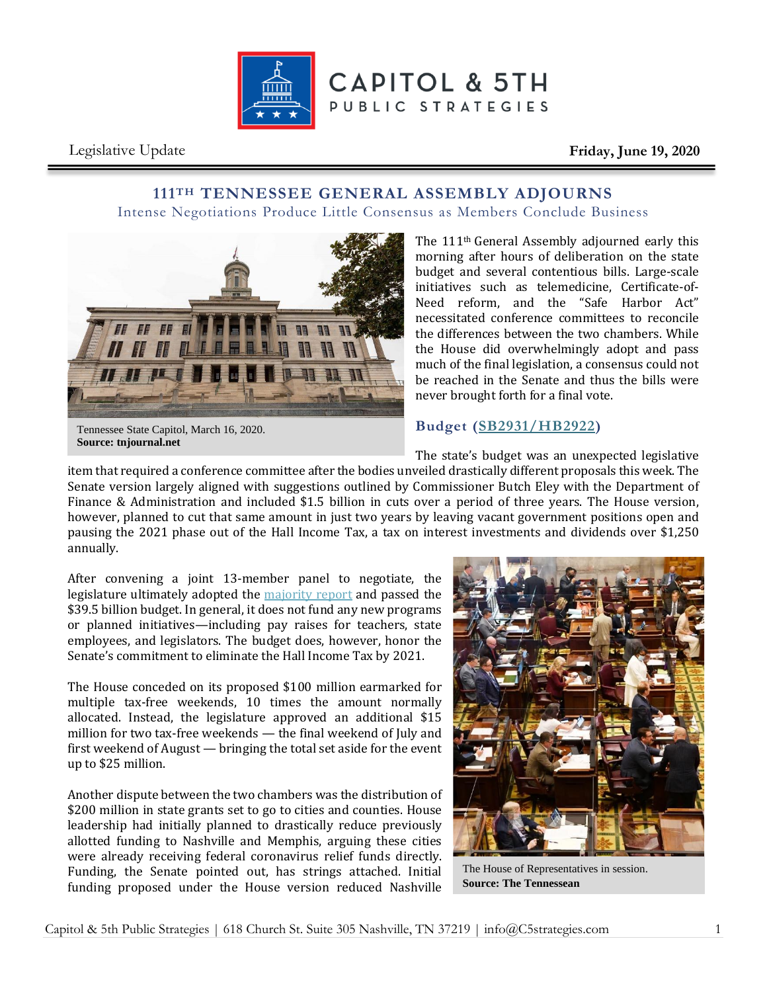

Legislative Update **Friday, June 19, 2020**

### **111TH TENNESSEE GENERAL ASSEMBLY ADJOURNS** Intense Negotiations Produce Little Consensus as Members Conclude Business



The 111th General Assembly adjourned early this morning after hours of deliberation on the state budget and several contentious bills. Large-scale initiatives such as telemedicine, Certificate-of-Need reform, and the "Safe Harbor Act" necessitated conference committees to reconcile the differences between the two chambers. While the House did overwhelmingly adopt and pass much of the final legislation, a consensus could not be reached in the Senate and thus the bills were never brought forth for a final vote.

#### Tennessee State Capitol, March 16, 2020. **Source: tnjournal.net**

# **Budget [\(SB2931/HB2922\)](http://wapp.capitol.tn.gov/apps/BillInfo/Default.aspx?BillNumber=SB2931)**

The state's budget was an unexpected legislative

item that required a conference committee after the bodies unveiled drastically different proposals this week. The Senate version largely aligned with suggestions outlined by Commissioner Butch Eley with the Department of Finance & Administration and included \$1.5 billion in cuts over a period of three years. The House version, however, planned to cut that same amount in just two years by leaving vacant government positions open and pausing the 2021 phase out of the Hall Income Tax, a tax on interest investments and dividends over \$1,250 annually.

After convening a joint 13-member panel to negotiate, the legislature ultimately adopted the [majority report](http://www.capitol.tn.gov/Bills/111/CCRReports/CC0023.pdf) and passed the \$39.5 billion budget. In general, it does not fund any new programs or planned initiatives—including pay raises for teachers, state employees, and legislators. The budget does, however, honor the Senate's commitment to eliminate the Hall Income Tax by 2021.

The House conceded on its proposed \$100 million earmarked for multiple tax-free weekends, 10 times the amount normally allocated. Instead, the legislature approved an additional \$15 million for two tax-free weekends — the final weekend of July and first weekend of August — bringing the total set aside for the event up to \$25 million.

Another dispute between the two chambers was the distribution of \$200 million in state grants set to go to cities and counties. House leadership had initially planned to drastically reduce previously allotted funding to Nashville and Memphis, arguing these cities were already receiving federal coronavirus relief funds directly. Funding, the Senate pointed out, has strings attached. Initial funding proposed under the House version reduced Nashville



The House of Representatives in session. **Source: The Tennessean**